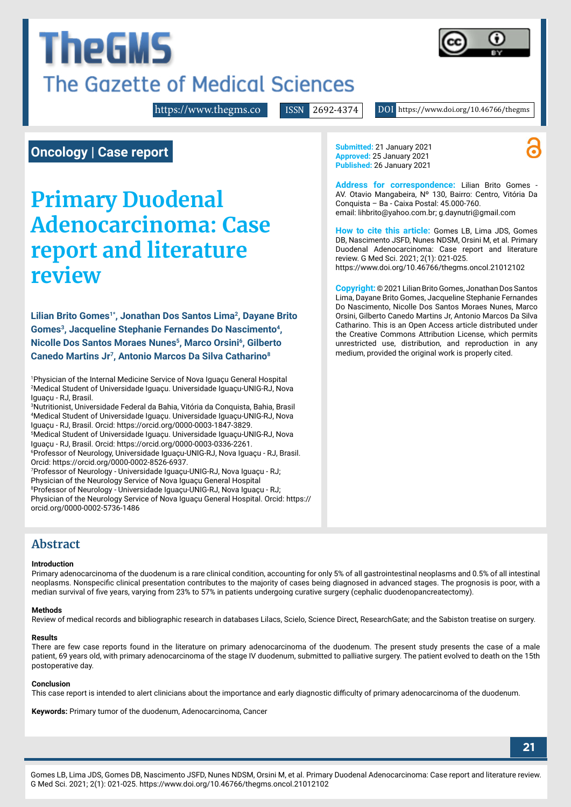# The Gazette of Medical Sciences

<https://www.thegms.co>

ISSN 2692-4374 DOI https://www.doi.org/10.46766/thegms

## **Oncology | Case report**

**TheGMS** 

## **Primary Duodenal Adenocarcinoma: Case report and literature review**

Lilian Brito Gomes<sup>1\*</sup>, Jonathan Dos Santos Lima<sup>2</sup>, Dayane Brito Gomes<sup>3</sup>, Jacqueline Stephanie Fernandes Do Nascimento<sup>4</sup>, **Nicolle Dos Santos Moraes Nunes5, Marco Orsini6, Gilberto Canedo Martins Jr7, Antonio Marcos Da Silva Catharino8**

1 Physician of the Internal Medicine Service of Nova Iguaçu General Hospital 2 Medical Student of Universidade Iguaçu. Universidade Iguaçu-UNIG-RJ, Nova Iguaçu - RJ, Brasil.

3 Nutritionist, Universidade Federal da Bahia, Vitória da Conquista, Bahia, Brasil 4 Medical Student of Universidade Iguaçu. Universidade Iguaçu-UNIG-RJ, Nova Iguaçu - RJ, Brasil. Orcid: https://orcid.org/0000-0003-1847-3829.

5 Medical Student of Universidade Iguaçu. Universidade Iguaçu-UNIG-RJ, Nova Iguaçu - RJ, Brasil. Orcid: https://orcid.org/0000-0003-0336-2261.

6 Professor of Neurology, Universidade Iguaçu-UNIG-RJ, Nova Iguaçu - RJ, Brasil. Orcid: https://orcid.org/0000-0002-8526-6937.

7 Professor of Neurology - Universidade Iguaçu-UNIG-RJ, Nova Iguaçu - RJ; Physician of the Neurology Service of Nova Iguaçu General Hospital 8 Professor of Neurology - Universidade Iguaçu-UNIG-RJ, Nova Iguaçu - RJ; Physician of the Neurology Service of Nova Iguaçu General Hospital. Orcid: https:// orcid.org/0000-0002-5736-1486

**Abstract**

#### **Introduction**

Primary adenocarcinoma of the duodenum is a rare clinical condition, accounting for only 5% of all gastrointestinal neoplasms and 0.5% of all intestinal neoplasms. Nonspecific clinical presentation contributes to the majority of cases being diagnosed in advanced stages. The prognosis is poor, with a median survival of five years, varying from 23% to 57% in patients undergoing curative surgery (cephalic duodenopancreatectomy).

#### **Methods**

Review of medical records and bibliographic research in databases Lilacs, Scielo, Science Direct, ResearchGate; and the Sabiston treatise on surgery.

#### **Results**

There are few case reports found in the literature on primary adenocarcinoma of the duodenum. The present study presents the case of a male patient, 69 years old, with primary adenocarcinoma of the stage IV duodenum, submitted to palliative surgery. The patient evolved to death on the 15th postoperative day.

#### **Conclusion**

This case report is intended to alert clinicians about the importance and early diagnostic difficulty of primary adenocarcinoma of the duodenum.

**Keywords:** Primary tumor of the duodenum, Adenocarcinoma, Cancer

**Submitted:** 21 January 2021 **Approved:** 25 January 2021 **Published:** 26 January 2021

**Address for correspondence:** Lilian Brito Gomes - AV. Otavio Mangabeira, Nº 130, Bairro: Centro, Vitória Da Conquista – Ba - Caixa Postal: 45.000-760. email: [lihbrito@yahoo.com.br;](mailto:lihbrito%40yahoo.com.br?subject=) [g.daynutri@gmail.com](mailto:g.daynutri%40gmail.com?subject=)

**How to cite this article:** Gomes LB, Lima JDS, Gomes DB, Nascimento JSFD, Nunes NDSM, Orsini M, et al. Primary Duodenal Adenocarcinoma: Case report and literature review. G Med Sci. 2021; 2(1): 021-025.

<https://www.doi.org/10.46766/thegms.oncol.21012102>

**Copyright:**© 2021 Lilian Brito Gomes, Jonathan Dos Santos Lima, Dayane Brito Gomes, Jacqueline Stephanie Fernandes Do Nascimento, Nicolle Dos Santos Moraes Nunes, Marco Orsini, Gilberto Canedo Martins Jr, Antonio Marcos Da Silva Catharino. This is an Open Access article distributed under the Creative Commons Attribution License, which permits unrestricted use, distribution, and reproduction in any medium, provided the original work is properly cited.



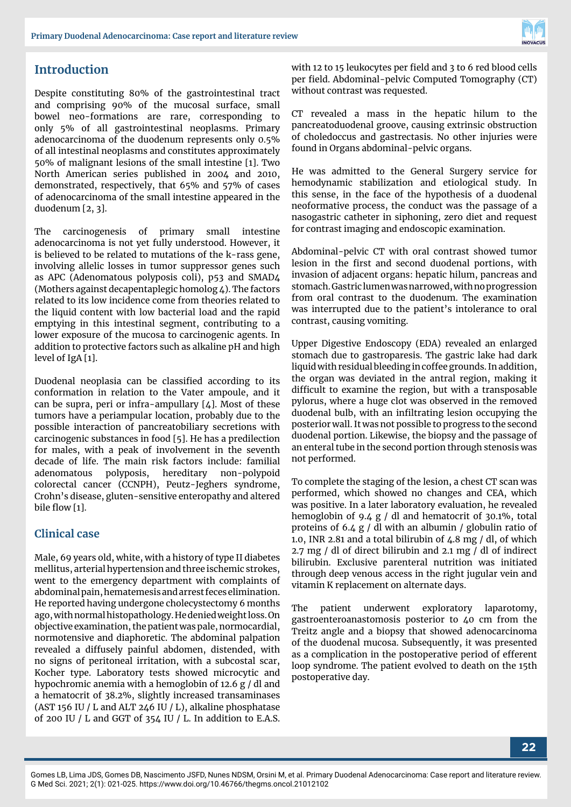

## **Introduction**

Despite constituting 80% of the gastrointestinal tract and comprising 90% of the mucosal surface, small bowel neo-formations are rare, corresponding to only 5% of all gastrointestinal neoplasms. Primary adenocarcinoma of the duodenum represents only 0.5% of all intestinal neoplasms and constitutes approximately 50% of malignant lesions of the small intestine [1]. Two North American series published in 2004 and 2010, demonstrated, respectively, that 65% and 57% of cases of adenocarcinoma of the small intestine appeared in the duodenum [2, 3].

The carcinogenesis of primary small intestine adenocarcinoma is not yet fully understood. However, it is believed to be related to mutations of the k-rass gene, involving allelic losses in tumor suppressor genes such as APC (Adenomatous polyposis coli), p53 and SMAD4 (Mothers against decapentaplegic homolog 4). The factors related to its low incidence come from theories related to the liquid content with low bacterial load and the rapid emptying in this intestinal segment, contributing to a lower exposure of the mucosa to carcinogenic agents. In addition to protective factors such as alkaline pH and high level of IgA [1].

Duodenal neoplasia can be classified according to its conformation in relation to the Vater ampoule, and it can be supra, peri or infra-ampullary  $[4]$ . Most of these tumors have a periampular location, probably due to the possible interaction of pancreatobiliary secretions with carcinogenic substances in food [5]. He has a predilection for males, with a peak of involvement in the seventh decade of life. The main risk factors include: familial adenomatous polyposis, hereditary non-polypoid colorectal cancer (CCNPH), Peutz-Jeghers syndrome, Crohn's disease, gluten-sensitive enteropathy and altered bile flow [1].

#### **Clinical case**

Male, 69 years old, white, with a history of type II diabetes mellitus, arterial hypertension and three ischemic strokes, went to the emergency department with complaints of abdominal pain, hematemesis and arrest feces elimination. He reported having undergone cholecystectomy 6 months ago, with normal histopathology. He denied weight loss. On objective examination, the patient was pale, normocardial, normotensive and diaphoretic. The abdominal palpation revealed a diffusely painful abdomen, distended, with no signs of peritoneal irritation, with a subcostal scar, Kocher type. Laboratory tests showed microcytic and hypochromic anemia with a hemoglobin of 12.6 g / dl and a hematocrit of 38.2%, slightly increased transaminases (AST 156 IU / L and ALT 246 IU / L), alkaline phosphatase of 200 IU / L and GGT of 354 IU / L. In addition to E.A.S.

with 12 to 15 leukocytes per field and 3 to 6 red blood cells per field. Abdominal-pelvic Computed Tomography (CT) without contrast was requested.

CT revealed a mass in the hepatic hilum to the pancreatoduodenal groove, causing extrinsic obstruction of choledoccus and gastrectasis. No other injuries were found in Organs abdominal-pelvic organs.

He was admitted to the General Surgery service for hemodynamic stabilization and etiological study. In this sense, in the face of the hypothesis of a duodenal neoformative process, the conduct was the passage of a nasogastric catheter in siphoning, zero diet and request for contrast imaging and endoscopic examination.

Abdominal-pelvic CT with oral contrast showed tumor lesion in the first and second duodenal portions, with invasion of adjacent organs: hepatic hilum, pancreas and stomach. Gastric lumen was narrowed, with no progression from oral contrast to the duodenum. The examination was interrupted due to the patient's intolerance to oral contrast, causing vomiting.

Upper Digestive Endoscopy (EDA) revealed an enlarged stomach due to gastroparesis. The gastric lake had dark liquid with residual bleeding in coffee grounds. In addition, the organ was deviated in the antral region, making it difficult to examine the region, but with a transposable pylorus, where a huge clot was observed in the removed duodenal bulb, with an infiltrating lesion occupying the posterior wall. It was not possible to progress to the second duodenal portion. Likewise, the biopsy and the passage of an enteral tube in the second portion through stenosis was not performed.

To complete the staging of the lesion, a chest CT scan was performed, which showed no changes and CEA, which was positive. In a later laboratory evaluation, he revealed hemoglobin of 9.4 g / dl and hematocrit of 30.1%, total proteins of 6.4 g / dl with an albumin / globulin ratio of 1.0, INR 2.81 and a total bilirubin of  $4.8$  mg  $/$  dl, of which 2.7 mg / dl of direct bilirubin and 2.1 mg / dl of indirect bilirubin. Exclusive parenteral nutrition was initiated through deep venous access in the right jugular vein and vitamin K replacement on alternate days.

The patient underwent exploratory laparotomy, gastroenteroanastomosis posterior to 40 cm from the Treitz angle and a biopsy that showed adenocarcinoma of the duodenal mucosa. Subsequently, it was presented as a complication in the postoperative period of efferent loop syndrome. The patient evolved to death on the 15th postoperative day.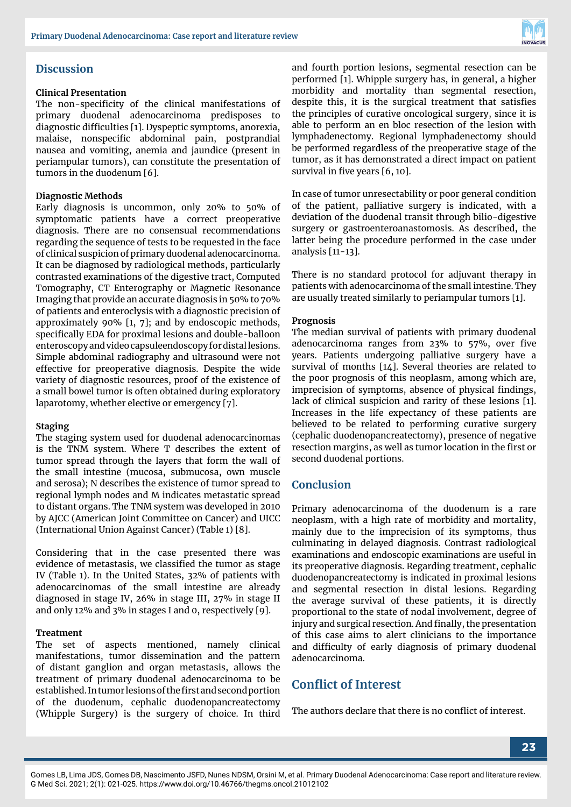

#### **Discussion**

#### **Clinical Presentation**

The non-specificity of the clinical manifestations of primary duodenal adenocarcinoma predisposes to diagnostic difficulties [1]. Dyspeptic symptoms, anorexia, malaise, nonspecific abdominal pain, postprandial nausea and vomiting, anemia and jaundice (present in periampular tumors), can constitute the presentation of tumors in the duodenum [6].

#### **Diagnostic Methods**

Early diagnosis is uncommon, only 20% to 50% of symptomatic patients have a correct preoperative diagnosis. There are no consensual recommendations regarding the sequence of tests to be requested in the face of clinical suspicion of primary duodenal adenocarcinoma. It can be diagnosed by radiological methods, particularly contrasted examinations of the digestive tract, Computed Tomography, CT Enterography or Magnetic Resonance Imaging that provide an accurate diagnosis in 50% to 70% of patients and enteroclysis with a diagnostic precision of approximately 90% [1, 7]; and by endoscopic methods, specifically EDA for proximal lesions and double-balloon enteroscopy and video capsuleendoscopy for distal lesions. Simple abdominal radiography and ultrasound were not effective for preoperative diagnosis. Despite the wide variety of diagnostic resources, proof of the existence of a small bowel tumor is often obtained during exploratory laparotomy, whether elective or emergency [7].

#### **Staging**

The staging system used for duodenal adenocarcinomas is the TNM system. Where T describes the extent of tumor spread through the layers that form the wall of the small intestine (mucosa, submucosa, own muscle and serosa); N describes the existence of tumor spread to regional lymph nodes and M indicates metastatic spread to distant organs. The TNM system was developed in 2010 by AJCC (American Joint Committee on Cancer) and UICC (International Union Against Cancer) (Table 1) [8].

Considering that in the case presented there was evidence of metastasis, we classified the tumor as stage IV (Table 1). In the United States, 32% of patients with adenocarcinomas of the small intestine are already diagnosed in stage IV, 26% in stage III, 27% in stage II and only 12% and 3% in stages I and 0, respectively [9].

#### **Treatment**

The set of aspects mentioned, namely clinical manifestations, tumor dissemination and the pattern of distant ganglion and organ metastasis, allows the treatment of primary duodenal adenocarcinoma to be established. In tumor lesions of the first and second portion of the duodenum, cephalic duodenopancreatectomy (Whipple Surgery) is the surgery of choice. In third and fourth portion lesions, segmental resection can be performed [1]. Whipple surgery has, in general, a higher morbidity and mortality than segmental resection, despite this, it is the surgical treatment that satisfies the principles of curative oncological surgery, since it is able to perform an en bloc resection of the lesion with lymphadenectomy. Regional lymphadenectomy should be performed regardless of the preoperative stage of the tumor, as it has demonstrated a direct impact on patient survival in five years [6, 10].

In case of tumor unresectability or poor general condition of the patient, palliative surgery is indicated, with a deviation of the duodenal transit through bilio-digestive surgery or gastroenteroanastomosis. As described, the latter being the procedure performed in the case under analysis [11-13].

There is no standard protocol for adjuvant therapy in patients with adenocarcinoma of the small intestine. They are usually treated similarly to periampular tumors [1].

#### **Prognosis**

The median survival of patients with primary duodenal adenocarcinoma ranges from 23% to 57%, over five years. Patients undergoing palliative surgery have a survival of months [14]. Several theories are related to the poor prognosis of this neoplasm, among which are, imprecision of symptoms, absence of physical findings, lack of clinical suspicion and rarity of these lesions [1]. Increases in the life expectancy of these patients are believed to be related to performing curative surgery (cephalic duodenopancreatectomy), presence of negative resection margins, as well as tumor location in the first or second duodenal portions.

#### **Conclusion**

Primary adenocarcinoma of the duodenum is a rare neoplasm, with a high rate of morbidity and mortality, mainly due to the imprecision of its symptoms, thus culminating in delayed diagnosis. Contrast radiological examinations and endoscopic examinations are useful in its preoperative diagnosis. Regarding treatment, cephalic duodenopancreatectomy is indicated in proximal lesions and segmental resection in distal lesions. Regarding the average survival of these patients, it is directly proportional to the state of nodal involvement, degree of injury and surgical resection. And finally, the presentation of this case aims to alert clinicians to the importance and difficulty of early diagnosis of primary duodenal adenocarcinoma.

## **Conflict of Interest**

The authors declare that there is no conflict of interest.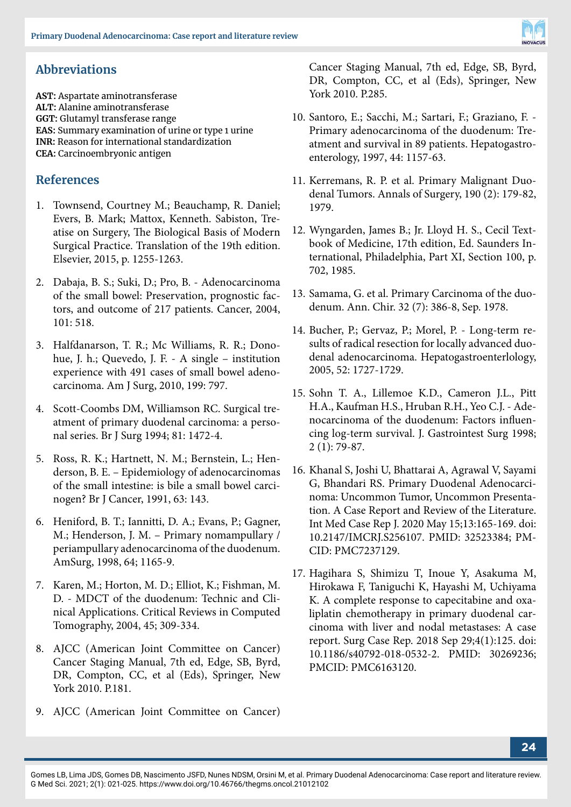

## **Abbreviations**

**AST:** Aspartate aminotransferase **ALT:** Alanine aminotransferase **GGT:** Glutamyl transferase range **EAS:** Summary examination of urine or type 1 urine **INR:** Reason for international standardization **CEA:** Carcinoembryonic antigen

### **References**

- 1. Townsend, Courtney M.; Beauchamp, R. Daniel; Evers, B. Mark; Mattox, Kenneth. Sabiston, Treatise on Surgery, The Biological Basis of Modern Surgical Practice. Translation of the 19th edition. Elsevier, 2015, p. 1255-1263.
- 2. Dabaja, B. S.; Suki, D.; Pro, B. Adenocarcinoma of the small bowel: Preservation, prognostic factors, and outcome of 217 patients. Cancer, 2004, 101: 518.
- 3. Halfdanarson, T. R.; Mc Williams, R. R.; Donohue, J. h.; Quevedo, J. F. - A single – institution experience with 491 cases of small bowel adenocarcinoma. Am J Surg, 2010, 199: 797.
- 4. Scott-Coombs DM, Williamson RC. Surgical treatment of primary duodenal carcinoma: a personal series. Br J Surg 1994; 81: 1472-4.
- 5. Ross, R. K.; Hartnett, N. M.; Bernstein, L.; Henderson, B. E. – Epidemiology of adenocarcinomas of the small intestine: is bile a small bowel carcinogen? Br J Cancer, 1991, 63: 143.
- 6. Heniford, B. T.; Iannitti, D. A.; Evans, P.; Gagner, M.; Henderson, J. M. – Primary nomampullary / periampullary adenocarcinoma of the duodenum. AmSurg, 1998, 64; 1165-9.
- 7. Karen, M.; Horton, M. D.; Elliot, K.; Fishman, M. D. - MDCT of the duodenum: Technic and Clinical Applications. Critical Reviews in Computed Tomography, 2004, 45; 309-334.
- 8. AJCC (American Joint Committee on Cancer) Cancer Staging Manual, 7th ed, Edge, SB, Byrd, DR, Compton, CC, et al (Eds), Springer, New York 2010. P.181.
- 9. AJCC (American Joint Committee on Cancer)

Cancer Staging Manual, 7th ed, Edge, SB, Byrd, DR, Compton, CC, et al (Eds), Springer, New York 2010. P.285.

- 10. Santoro, E.; Sacchi, M.; Sartari, F.; Graziano, F. Primary adenocarcinoma of the duodenum: Treatment and survival in 89 patients. Hepatogastroenterology, 1997, 44: 1157-63.
- 11. Kerremans, R. P. et al. Primary Malignant Duodenal Tumors. Annals of Surgery, 190 (2): 179-82, 1979.
- 12. Wyngarden, James B.; Jr. Lloyd H. S., Cecil Textbook of Medicine, 17th edition, Ed. Saunders International, Philadelphia, Part XI, Section 100, p. 702, 1985.
- 13. Samama, G. et al. Primary Carcinoma of the duodenum. Ann. Chir. 32 (7): 386-8, Sep. 1978.
- 14. Bucher, P.; Gervaz, P.; Morel, P. Long-term results of radical resection for locally advanced duodenal adenocarcinoma. Hepatogastroenterlology, 2005, 52: 1727-1729.
- 15. Sohn T. A., Lillemoe K.D., Cameron J.L., Pitt H.A., Kaufman H.S., Hruban R.H., Yeo C.J. - Adenocarcinoma of the duodenum: Factors influencing log-term survival. J. Gastrointest Surg 1998; 2 (1): 79-87.
- 16. Khanal S, Joshi U, Bhattarai A, Agrawal V, Sayami G, Bhandari RS. Primary Duodenal Adenocarcinoma: Uncommon Tumor, Uncommon Presentation. A Case Report and Review of the Literature. Int Med Case Rep J. 2020 May 15;13:165-169. doi: 10.2147/IMCRJ.S256107. PMID: 32523384; PM-CID: PMC7237129.
- 17. Hagihara S, Shimizu T, Inoue Y, Asakuma M, Hirokawa F, Taniguchi K, Hayashi M, Uchiyama K. A complete response to capecitabine and oxaliplatin chemotherapy in primary duodenal carcinoma with liver and nodal metastases: A case report. Surg Case Rep. 2018 Sep 29;4(1):125. doi: 10.1186/s40792-018-0532-2. PMID: 30269236; PMCID: PMC6163120.